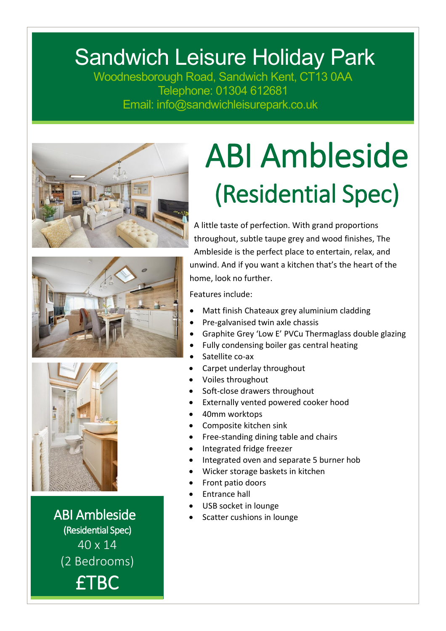## Sandwich Leisure Holiday Park

Woodnesborough Road, Sandwich Kent, CT13 0AA Telephone: 01304 612681 Email: info@sandwichleisurepark.co.uk







ABI Ambleside (Residential Spec) 40 x 14 (2 Bedrooms) £TBC

## ABI Ambleside (Residential Spec)

A little taste of perfection. With grand proportions throughout, subtle taupe grey and wood finishes, The Ambleside is the perfect place to entertain, relax, and unwind. And if you want a kitchen that's the heart of the home, look no further.

Features include:

- Matt finish Chateaux grey aluminium cladding
- Pre-galvanised twin axle chassis
- Graphite Grey 'Low E' PVCu Thermaglass double glazing
- Fully condensing boiler gas central heating
- Satellite co-ax
- Carpet underlay throughout
- Voiles throughout
- Soft-close drawers throughout
- Externally vented powered cooker hood
- 40mm worktops
- Composite kitchen sink
- Free-standing dining table and chairs
- Integrated fridge freezer
- Integrated oven and separate 5 burner hob
- Wicker storage baskets in kitchen
- Front patio doors
- Entrance hall
- USB socket in lounge
- Scatter cushions in lounge